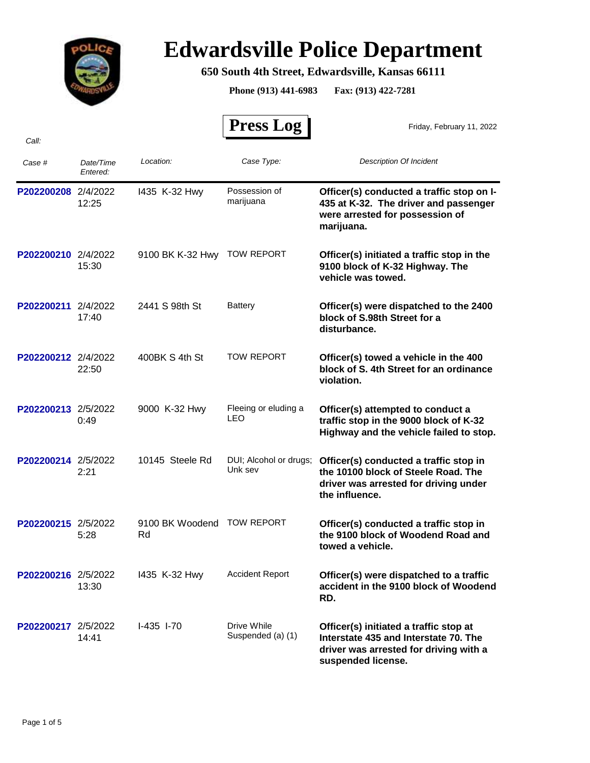

## **Edwardsville Police Department**

## **650 South 4th Street, Edwardsville, Kansas 66111**

**Phone (913) 441-6983 Fax: (913) 422-7281**

|                     |                       |                       | <b>Press Log</b>                  | Friday, February 11, 2022                                                                                                                       |
|---------------------|-----------------------|-----------------------|-----------------------------------|-------------------------------------------------------------------------------------------------------------------------------------------------|
| Call:               |                       |                       |                                   |                                                                                                                                                 |
| Case #              | Date/Time<br>Entered: | Location:             | Case Type:                        | <b>Description Of Incident</b>                                                                                                                  |
| P202200208 2/4/2022 | 12:25                 | 1435 K-32 Hwy         | Possession of<br>marijuana        | Officer(s) conducted a traffic stop on I-<br>435 at K-32. The driver and passenger<br>were arrested for possession of<br>marijuana.             |
| P202200210 2/4/2022 | 15:30                 | 9100 BK K-32 Hwy      | TOW REPORT                        | Officer(s) initiated a traffic stop in the<br>9100 block of K-32 Highway. The<br>vehicle was towed.                                             |
| P202200211          | 2/4/2022<br>17:40     | 2441 S 98th St        | <b>Battery</b>                    | Officer(s) were dispatched to the 2400<br>block of S.98th Street for a<br>disturbance.                                                          |
| P202200212 2/4/2022 | 22:50                 | 400BK S 4th St        | TOW REPORT                        | Officer(s) towed a vehicle in the 400<br>block of S. 4th Street for an ordinance<br>violation.                                                  |
| P202200213 2/5/2022 | 0:49                  | 9000 K-32 Hwy         | Fleeing or eluding a<br>LEO       | Officer(s) attempted to conduct a<br>traffic stop in the 9000 block of K-32<br>Highway and the vehicle failed to stop.                          |
| P202200214 2/5/2022 | 2:21                  | 10145 Steele Rd       | DUI; Alcohol or drugs;<br>Unk sev | Officer(s) conducted a traffic stop in<br>the 10100 block of Steele Road. The<br>driver was arrested for driving under<br>the influence.        |
| P202200215 2/5/2022 | 5:28                  | 9100 BK Woodend<br>Rd | <b>TOW REPORT</b>                 | Officer(s) conducted a traffic stop in<br>the 9100 block of Woodend Road and<br>towed a vehicle.                                                |
| P202200216 2/5/2022 | 13:30                 | 1435 K-32 Hwy         | <b>Accident Report</b>            | Officer(s) were dispatched to a traffic<br>accident in the 9100 block of Woodend<br>RD.                                                         |
| P202200217 2/5/2022 | 14:41                 | I-435 I-70            | Drive While<br>Suspended (a) (1)  | Officer(s) initiated a traffic stop at<br>Interstate 435 and Interstate 70. The<br>driver was arrested for driving with a<br>suspended license. |

Page 1 of 5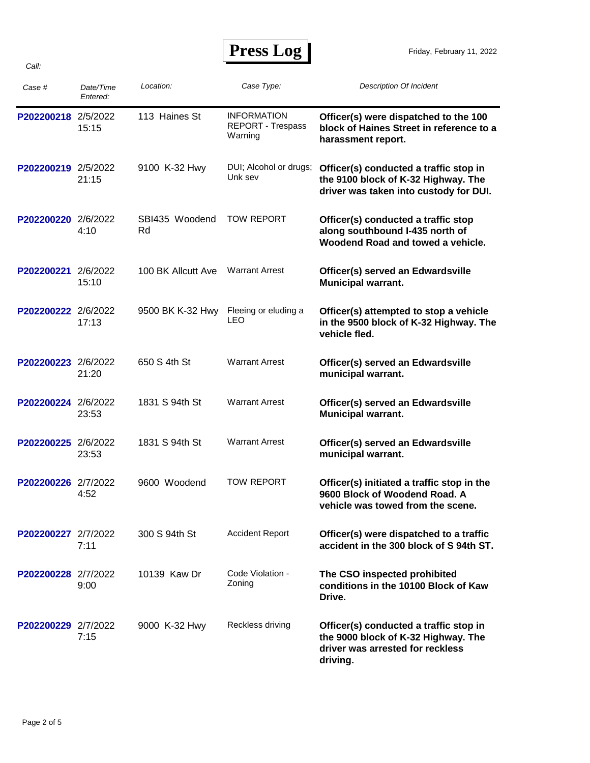*Call:*

 **Press Log** 

| Case #              | Date/Time<br>Entered: | Location:            | Case Type:                                                | <b>Description Of Incident</b>                                                                                                |
|---------------------|-----------------------|----------------------|-----------------------------------------------------------|-------------------------------------------------------------------------------------------------------------------------------|
| P202200218 2/5/2022 | 15:15                 | 113 Haines St        | <b>INFORMATION</b><br><b>REPORT - Trespass</b><br>Warning | Officer(s) were dispatched to the 100<br>block of Haines Street in reference to a<br>harassment report.                       |
| P202200219 2/5/2022 | 21:15                 | 9100 K-32 Hwy        | DUI; Alcohol or drugs;<br>Unk sev                         | Officer(s) conducted a traffic stop in<br>the 9100 block of K-32 Highway. The<br>driver was taken into custody for DUI.       |
| P202200220 2/6/2022 | 4:10                  | SBI435 Woodend<br>Rd | <b>TOW REPORT</b>                                         | Officer(s) conducted a traffic stop<br>along southbound I-435 north of<br>Woodend Road and towed a vehicle.                   |
| P202200221          | 2/6/2022<br>15:10     | 100 BK Allcutt Ave   | <b>Warrant Arrest</b>                                     | Officer(s) served an Edwardsville<br><b>Municipal warrant.</b>                                                                |
| P202200222 2/6/2022 | 17:13                 | 9500 BK K-32 Hwy     | Fleeing or eluding a<br>LEO                               | Officer(s) attempted to stop a vehicle<br>in the 9500 block of K-32 Highway. The<br>vehicle fled.                             |
| P202200223 2/6/2022 | 21:20                 | 650 S 4th St         | <b>Warrant Arrest</b>                                     | Officer(s) served an Edwardsville<br>municipal warrant.                                                                       |
| P202200224 2/6/2022 | 23:53                 | 1831 S 94th St       | <b>Warrant Arrest</b>                                     | Officer(s) served an Edwardsville<br><b>Municipal warrant.</b>                                                                |
| P202200225 2/6/2022 | 23:53                 | 1831 S 94th St       | <b>Warrant Arrest</b>                                     | Officer(s) served an Edwardsville<br>municipal warrant.                                                                       |
| P202200226 2/7/2022 | 4:52                  | 9600 Woodend         | <b>TOW REPORT</b>                                         | Officer(s) initiated a traffic stop in the<br>9600 Block of Woodend Road. A<br>vehicle was towed from the scene.              |
| P202200227 2/7/2022 | 7:11                  | 300 S 94th St        | <b>Accident Report</b>                                    | Officer(s) were dispatched to a traffic<br>accident in the 300 block of S 94th ST.                                            |
| P202200228 2/7/2022 | 9:00                  | 10139 Kaw Dr         | Code Violation -<br>Zoning                                | The CSO inspected prohibited<br>conditions in the 10100 Block of Kaw<br>Drive.                                                |
| P202200229 2/7/2022 | 7:15                  | 9000 K-32 Hwy        | Reckless driving                                          | Officer(s) conducted a traffic stop in<br>the 9000 block of K-32 Highway. The<br>driver was arrested for reckless<br>driving. |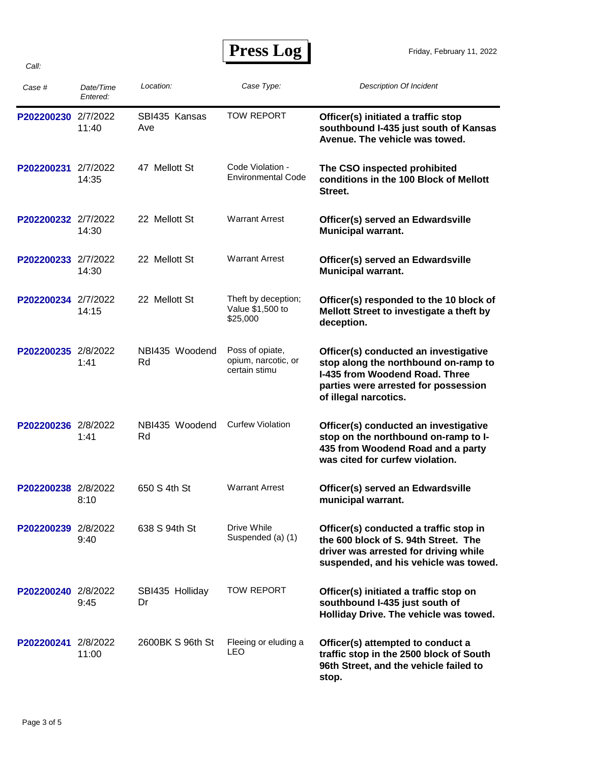**Press Log** 

Friday, February 11, 2022

| Case #              | Date/Time<br>Entered: | Location:             | Case Type:                                              | <b>Description Of Incident</b>                                                                                                                                                   |
|---------------------|-----------------------|-----------------------|---------------------------------------------------------|----------------------------------------------------------------------------------------------------------------------------------------------------------------------------------|
| P202200230          | 2/7/2022<br>11:40     | SBI435 Kansas<br>Ave  | <b>TOW REPORT</b>                                       | Officer(s) initiated a traffic stop<br>southbound I-435 just south of Kansas<br>Avenue. The vehicle was towed.                                                                   |
| P202200231 2/7/2022 | 14:35                 | 47 Mellott St         | Code Violation -<br><b>Environmental Code</b>           | The CSO inspected prohibited<br>conditions in the 100 Block of Mellott<br>Street.                                                                                                |
| P202200232 2/7/2022 | 14:30                 | 22 Mellott St         | <b>Warrant Arrest</b>                                   | Officer(s) served an Edwardsville<br><b>Municipal warrant.</b>                                                                                                                   |
| P202200233 2/7/2022 | 14:30                 | 22 Mellott St         | <b>Warrant Arrest</b>                                   | Officer(s) served an Edwardsville<br><b>Municipal warrant.</b>                                                                                                                   |
| P202200234 2/7/2022 | 14:15                 | 22 Mellott St         | Theft by deception;<br>Value \$1,500 to<br>\$25,000     | Officer(s) responded to the 10 block of<br>Mellott Street to investigate a theft by<br>deception.                                                                                |
| P202200235 2/8/2022 | 1:41                  | NBI435 Woodend<br>Rd  | Poss of opiate,<br>opium, narcotic, or<br>certain stimu | Officer(s) conducted an investigative<br>stop along the northbound on-ramp to<br>I-435 from Woodend Road. Three<br>parties were arrested for possession<br>of illegal narcotics. |
| P202200236 2/8/2022 | 1:41                  | NBI435 Woodend<br>Rd  | <b>Curfew Violation</b>                                 | Officer(s) conducted an investigative<br>stop on the northbound on-ramp to I-<br>435 from Woodend Road and a party<br>was cited for curfew violation.                            |
| P202200238 2/8/2022 | 8:10                  | 650 S 4th St          | <b>Warrant Arrest</b>                                   | Officer(s) served an Edwardsville<br>municipal warrant.                                                                                                                          |
| P202200239 2/8/2022 | 9:40                  | 638 S 94th St         | Drive While<br>Suspended (a) (1)                        | Officer(s) conducted a traffic stop in<br>the 600 block of S. 94th Street. The<br>driver was arrested for driving while<br>suspended, and his vehicle was towed.                 |
| P202200240 2/8/2022 | 9:45                  | SBI435 Holliday<br>Dr | <b>TOW REPORT</b>                                       | Officer(s) initiated a traffic stop on<br>southbound I-435 just south of<br>Holliday Drive. The vehicle was towed.                                                               |
| P202200241          | 2/8/2022<br>11:00     | 2600BK S 96th St      | Fleeing or eluding a<br><b>LEO</b>                      | Officer(s) attempted to conduct a<br>traffic stop in the 2500 block of South<br>96th Street, and the vehicle failed to<br>stop.                                                  |

*Call:*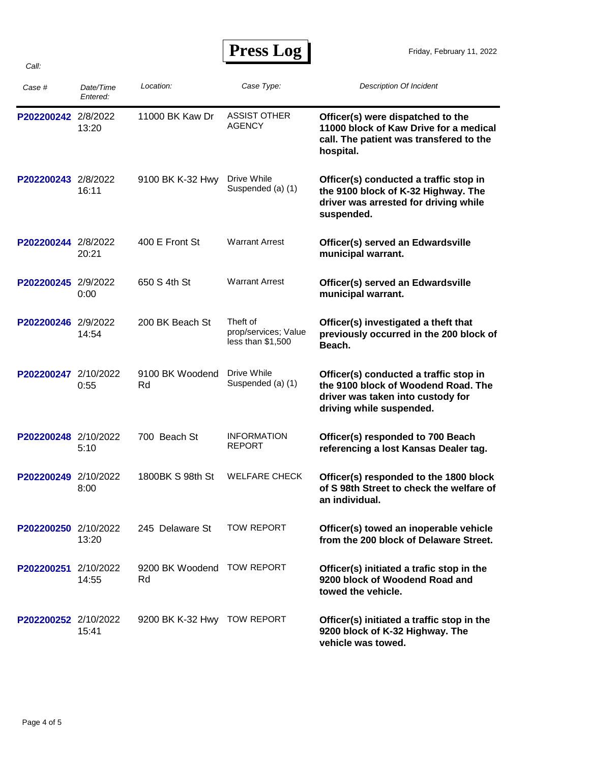## **Press Log**

| Case #               | Date/Time<br>Entered: | Location:             | Case Type:                                             | <b>Description Of Incident</b>                                                                                                                 |
|----------------------|-----------------------|-----------------------|--------------------------------------------------------|------------------------------------------------------------------------------------------------------------------------------------------------|
| P202200242 2/8/2022  | 13:20                 | 11000 BK Kaw Dr       | <b>ASSIST OTHER</b><br><b>AGENCY</b>                   | Officer(s) were dispatched to the<br>11000 block of Kaw Drive for a medical<br>call. The patient was transfered to the<br>hospital.            |
| P202200243 2/8/2022  | 16:11                 | 9100 BK K-32 Hwy      | Drive While<br>Suspended (a) (1)                       | Officer(s) conducted a traffic stop in<br>the 9100 block of K-32 Highway. The<br>driver was arrested for driving while<br>suspended.           |
| P202200244 2/8/2022  | 20:21                 | 400 E Front St        | <b>Warrant Arrest</b>                                  | Officer(s) served an Edwardsville<br>municipal warrant.                                                                                        |
| P202200245 2/9/2022  | 0:00                  | 650 S 4th St          | <b>Warrant Arrest</b>                                  | Officer(s) served an Edwardsville<br>municipal warrant.                                                                                        |
| P202200246 2/9/2022  | 14:54                 | 200 BK Beach St       | Theft of<br>prop/services; Value<br>less than $$1,500$ | Officer(s) investigated a theft that<br>previously occurred in the 200 block of<br>Beach.                                                      |
| P202200247 2/10/2022 | 0:55                  | 9100 BK Woodend<br>Rd | Drive While<br>Suspended (a) (1)                       | Officer(s) conducted a traffic stop in<br>the 9100 block of Woodend Road. The<br>driver was taken into custody for<br>driving while suspended. |
| P202200248 2/10/2022 | 5:10                  | 700 Beach St          | <b>INFORMATION</b><br><b>REPORT</b>                    | Officer(s) responded to 700 Beach<br>referencing a lost Kansas Dealer tag.                                                                     |
| P202200249 2/10/2022 | 8:00                  | 1800BK S 98th St      | <b>WELFARE CHECK</b>                                   | Officer(s) responded to the 1800 block<br>of S 98th Street to check the welfare of<br>an individual.                                           |
| P202200250 2/10/2022 | 13:20                 | 245 Delaware St       | <b>TOW REPORT</b>                                      | Officer(s) towed an inoperable vehicle<br>from the 200 block of Delaware Street.                                                               |
| P202200251           | 2/10/2022<br>14:55    | 9200 BK Woodend<br>Rd | <b>TOW REPORT</b>                                      | Officer(s) initiated a trafic stop in the<br>9200 block of Woodend Road and<br>towed the vehicle.                                              |
| P202200252 2/10/2022 | 15:41                 | 9200 BK K-32 Hwy      | TOW REPORT                                             | Officer(s) initiated a traffic stop in the<br>9200 block of K-32 Highway. The<br>vehicle was towed.                                            |

*Call:*